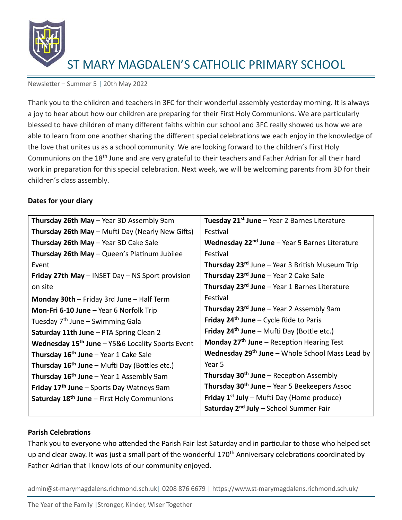

Newsletter – Summer 5 | 20th May 2022

Thank you to the children and teachers in 3FC for their wonderful assembly yesterday morning. It is always a joy to hear about how our children are preparing for their First Holy Communions. We are particularly blessed to have children of many different faiths within our school and 3FC really showed us how we are able to learn from one another sharing the different special celebrations we each enjoy in the knowledge of the love that unites us as a school community. We are looking forward to the children's First Holy Communions on the 18<sup>th</sup> June and are very grateful to their teachers and Father Adrian for all their hard work in preparation for this special celebration. Next week, we will be welcoming parents from 3D for their children's class assembly.

## **Dates for your diary**

| Tuesday 21 <sup>st</sup> June – Year 2 Barnes Literature           |
|--------------------------------------------------------------------|
| Festival                                                           |
| <b>Wednesday 22<sup>nd</sup> June</b> $-$ Year 5 Barnes Literature |
| Festival                                                           |
| <b>Thursday 23<sup>rd</sup> June – Year 3 British Museum Trip</b>  |
| <b>Thursday 23rd June</b> $-$ Year 2 Cake Sale                     |
| Thursday 23 <sup>rd</sup> June - Year 1 Barnes Literature          |
| Festival                                                           |
| <b>Thursday 23<sup>rd</sup> June</b> – Year 2 Assembly 9am         |
| <b>Friday 24th June – Cycle Ride to Paris</b>                      |
| <b>Friday 24th June – Mufti Day (Bottle etc.)</b>                  |
| Monday $27th$ June – Reception Hearing Test                        |
| <b>Wednesday 29th June</b> – Whole School Mass Lead by             |
| Year 5                                                             |
| Thursday 30 <sup>th</sup> June - Reception Assembly                |
| <b>Thursday 30th June – Year 5 Beekeepers Assoc</b>                |
| <b>Friday 1st July</b> – Mufti Day (Home produce)                  |
| Saturday 2 <sup>nd</sup> July - School Summer Fair                 |
|                                                                    |

#### **Parish Celebrations**

Thank you to everyone who attended the Parish Fair last Saturday and in particular to those who helped set up and clear away. It was just a small part of the wonderful 170<sup>th</sup> Anniversary celebrations coordinated by Father Adrian that I know lots of our community enjoyed.

admin@st-marymagdalens.richmond.sch.uk| 0208 876 6679 | https://www.st-marymagdalens.richmond.sch.uk/